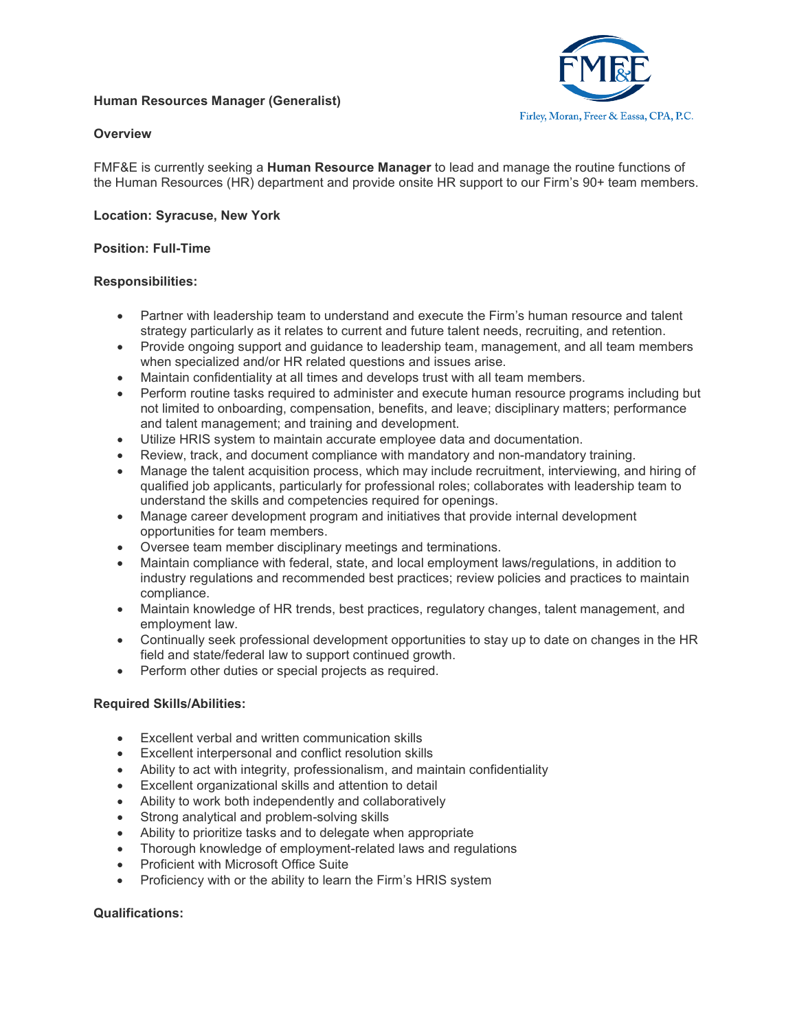# **Human Resources Manager (Generalist)**



### **Overview**

FMF&E is currently seeking a **Human Resource Manager** to lead and manage the routine functions of the Human Resources (HR) department and provide onsite HR support to our Firm's 90+ team members.

### **Location: Syracuse, New York**

#### **Position: Full-Time**

#### **Responsibilities:**

- Partner with leadership team to understand and execute the Firm's human resource and talent strategy particularly as it relates to current and future talent needs, recruiting, and retention.
- Provide ongoing support and guidance to leadership team, management, and all team members when specialized and/or HR related questions and issues arise.
- Maintain confidentiality at all times and develops trust with all team members.
- Perform routine tasks required to administer and execute human resource programs including but not limited to onboarding, compensation, benefits, and leave; disciplinary matters; performance and talent management; and training and development.
- Utilize HRIS system to maintain accurate employee data and documentation.
- Review, track, and document compliance with mandatory and non-mandatory training.
- Manage the talent acquisition process, which may include recruitment, interviewing, and hiring of qualified job applicants, particularly for professional roles; collaborates with leadership team to understand the skills and competencies required for openings.
- Manage career development program and initiatives that provide internal development opportunities for team members.
- Oversee team member disciplinary meetings and terminations.
- Maintain compliance with federal, state, and local employment laws/regulations, in addition to industry regulations and recommended best practices; review policies and practices to maintain compliance.
- Maintain knowledge of HR trends, best practices, regulatory changes, talent management, and employment law.
- Continually seek professional development opportunities to stay up to date on changes in the HR field and state/federal law to support continued growth.
- Perform other duties or special projects as required.

#### **Required Skills/Abilities:**

- Excellent verbal and written communication skills
- Excellent interpersonal and conflict resolution skills
- Ability to act with integrity, professionalism, and maintain confidentiality
- Excellent organizational skills and attention to detail
- Ability to work both independently and collaboratively
- Strong analytical and problem-solving skills
- Ability to prioritize tasks and to delegate when appropriate
- Thorough knowledge of employment-related laws and regulations
- Proficient with Microsoft Office Suite
- Proficiency with or the ability to learn the Firm's HRIS system

#### **Qualifications:**